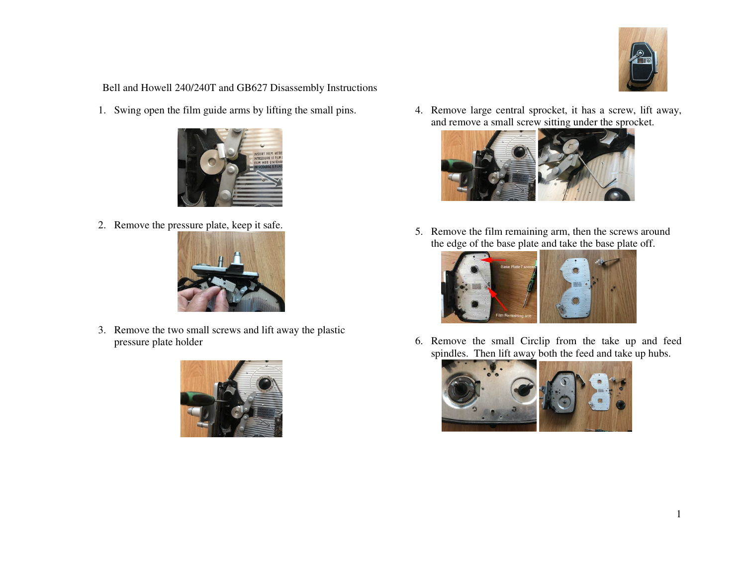

Bell and Howell 240/240T and GB627 Disassembly Instructions

1. Swing open the film guide arms by lifting the small pins.



2. Remove the pressure plate, keep it safe.



3. Remove the two small screws and lift away the plastic pressure plate holder



4. Remove large central sprocket, it has a screw, lift away, and remove a small screw sitting under the sprocket.



5. Remove the film remaining arm, then the screws around the edge of the base plate and take the base plate off.



6. Remove the small Circlip from the take up and feed spindles. Then lift away both the feed and take up hubs.